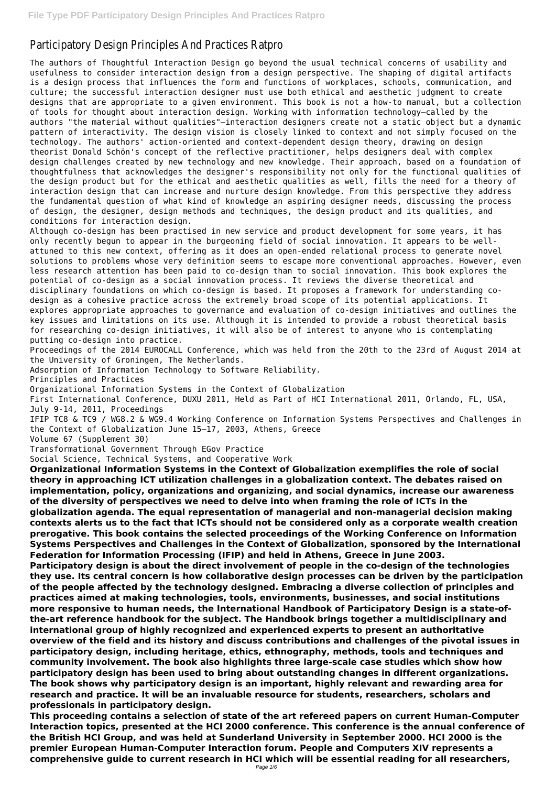## Participatory Design Principles And Practices Ratpro

The authors of Thoughtful Interaction Design go beyond the usual technical concerns of usability and usefulness to consider interaction design from a design perspective. The shaping of digital artifacts is a design process that influences the form and functions of workplaces, schools, communication, and culture; the successful interaction designer must use both ethical and aesthetic judgment to create designs that are appropriate to a given environment. This book is not a how-to manual, but a collection of tools for thought about interaction design. Working with information technology—called by the authors "the material without qualities"—interaction designers create not a static object but a dynamic pattern of interactivity. The design vision is closely linked to context and not simply focused on the technology. The authors' action-oriented and context-dependent design theory, drawing on design theorist Donald Schön's concept of the reflective practitioner, helps designers deal with complex design challenges created by new technology and new knowledge. Their approach, based on a foundation of thoughtfulness that acknowledges the designer's responsibility not only for the functional qualities of the design product but for the ethical and aesthetic qualities as well, fills the need for a theory of interaction design that can increase and nurture design knowledge. From this perspective they address the fundamental question of what kind of knowledge an aspiring designer needs, discussing the process of design, the designer, design methods and techniques, the design product and its qualities, and conditions for interaction design.

Although co-design has been practised in new service and product development for some years, it has only recently begun to appear in the burgeoning field of social innovation. It appears to be wellattuned to this new context, offering as it does an open-ended relational process to generate novel solutions to problems whose very definition seems to escape more conventional approaches. However, even less research attention has been paid to co-design than to social innovation. This book explores the potential of co-design as a social innovation process. It reviews the diverse theoretical and disciplinary foundations on which co-design is based. It proposes a framework for understanding codesign as a cohesive practice across the extremely broad scope of its potential applications. It explores appropriate approaches to governance and evaluation of co-design initiatives and outlines the key issues and limitations on its use. Although it is intended to provide a robust theoretical basis for researching co-design initiatives, it will also be of interest to anyone who is contemplating putting co-design into practice.

Proceedings of the 2014 EUROCALL Conference, which was held from the 20th to the 23rd of August 2014 at the University of Groningen, The Netherlands.

Adsorption of Information Technology to Software Reliability.

Principles and Practices

Organizational Information Systems in the Context of Globalization

First International Conference, DUXU 2011, Held as Part of HCI International 2011, Orlando, FL, USA, July 9-14, 2011, Proceedings

IFIP TC8 & TC9 / WG8.2 & WG9.4 Working Conference on Information Systems Perspectives and Challenges in the Context of Globalization June 15–17, 2003, Athens, Greece

Volume 67 (Supplement 30)

Transformational Government Through EGov Practice

Social Science, Technical Systems, and Cooperative Work

**Organizational Information Systems in the Context of Globalization exemplifies the role of social theory in approaching ICT utilization challenges in a globalization context. The debates raised on implementation, policy, organizations and organizing, and social dynamics, increase our awareness of the diversity of perspectives we need to delve into when framing the role of ICTs in the globalization agenda. The equal representation of managerial and non-managerial decision making contexts alerts us to the fact that ICTs should not be considered only as a corporate wealth creation prerogative. This book contains the selected proceedings of the Working Conference on Information Systems Perspectives and Challenges in the Context of Globalization, sponsored by the International Federation for Information Processing (IFIP) and held in Athens, Greece in June 2003. Participatory design is about the direct involvement of people in the co-design of the technologies**

**they use. Its central concern is how collaborative design processes can be driven by the participation of the people affected by the technology designed. Embracing a diverse collection of principles and practices aimed at making technologies, tools, environments, businesses, and social institutions more responsive to human needs, the International Handbook of Participatory Design is a state-ofthe-art reference handbook for the subject. The Handbook brings together a multidisciplinary and international group of highly recognized and experienced experts to present an authoritative overview of the field and its history and discuss contributions and challenges of the pivotal issues in participatory design, including heritage, ethics, ethnography, methods, tools and techniques and community involvement. The book also highlights three large-scale case studies which show how participatory design has been used to bring about outstanding changes in different organizations. The book shows why participatory design is an important, highly relevant and rewarding area for research and practice. It will be an invaluable resource for students, researchers, scholars and professionals in participatory design. This proceeding contains a selection of state of the art refereed papers on current Human-Computer Interaction topics, presented at the HCI 2000 conference. This conference is the annual conference of the British HCI Group, and was held at Sunderland University in September 2000. HCI 2000 is the premier European Human-Computer Interaction forum. People and Computers XIV represents a comprehensive guide to current research in HCI which will be essential reading for all researchers,**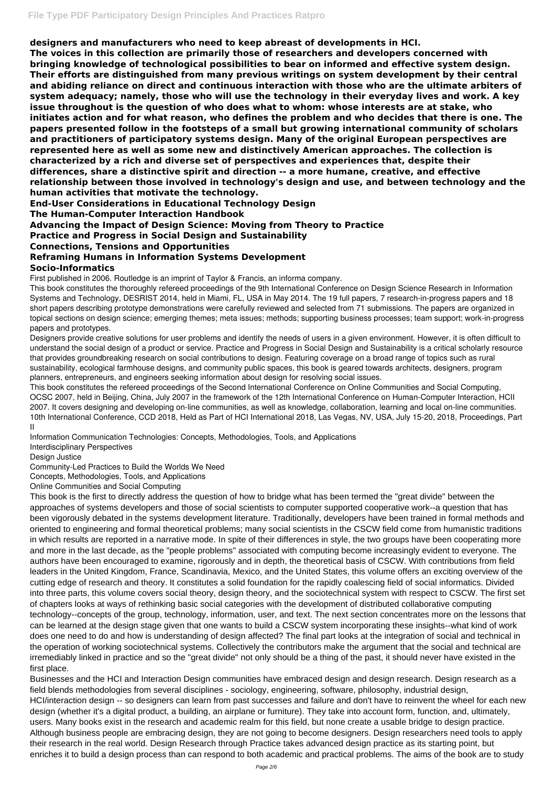**designers and manufacturers who need to keep abreast of developments in HCI.**

**The voices in this collection are primarily those of researchers and developers concerned with bringing knowledge of technological possibilities to bear on informed and effective system design. Their efforts are distinguished from many previous writings on system development by their central and abiding reliance on direct and continuous interaction with those who are the ultimate arbiters of system adequacy; namely, those who will use the technology in their everyday lives and work. A key issue throughout is the question of who does what to whom: whose interests are at stake, who initiates action and for what reason, who defines the problem and who decides that there is one. The papers presented follow in the footsteps of a small but growing international community of scholars and practitioners of participatory systems design. Many of the original European perspectives are represented here as well as some new and distinctively American approaches. The collection is characterized by a rich and diverse set of perspectives and experiences that, despite their differences, share a distinctive spirit and direction -- a more humane, creative, and effective relationship between those involved in technology's design and use, and between technology and the human activities that motivate the technology.**

**End-User Considerations in Educational Technology Design**

**The Human-Computer Interaction Handbook**

**Advancing the Impact of Design Science: Moving from Theory to Practice**

**Practice and Progress in Social Design and Sustainability**

**Connections, Tensions and Opportunities**

## **Reframing Humans in Information Systems Development**

### **Socio-Informatics**

First published in 2006. Routledge is an imprint of Taylor & Francis, an informa company.

This book constitutes the thoroughly refereed proceedings of the 9th International Conference on Design Science Research in Information Systems and Technology, DESRIST 2014, held in Miami, FL, USA in May 2014. The 19 full papers, 7 research-in-progress papers and 18 short papers describing prototype demonstrations were carefully reviewed and selected from 71 submissions. The papers are organized in topical sections on design science; emerging themes; meta issues; methods; supporting business processes; team support; work-in-progress papers and prototypes.

Designers provide creative solutions for user problems and identify the needs of users in a given environment. However, it is often difficult to understand the social design of a product or service. Practice and Progress in Social Design and Sustainability is a critical scholarly resource that provides groundbreaking research on social contributions to design. Featuring coverage on a broad range of topics such as rural sustainability, ecological farmhouse designs, and community public spaces, this book is geared towards architects, designers, program planners, entrepreneurs, and engineers seeking information about design for resolving social issues.

This book constitutes the refereed proceedings of the Second International Conference on Online Communities and Social Computing, OCSC 2007, held in Beijing, China, July 2007 in the framework of the 12th International Conference on Human-Computer Interaction, HCII 2007. It covers designing and developing on-line communities, as well as knowledge, collaboration, learning and local on-line communities. 10th International Conference, CCD 2018, Held as Part of HCI International 2018, Las Vegas, NV, USA, July 15-20, 2018, Proceedings, Part II

Information Communication Technologies: Concepts, Methodologies, Tools, and Applications

Interdisciplinary Perspectives

Design Justice

Community-Led Practices to Build the Worlds We Need

Concepts, Methodologies, Tools, and Applications

Online Communities and Social Computing

This book is the first to directly address the question of how to bridge what has been termed the "great divide" between the approaches of systems developers and those of social scientists to computer supported cooperative work--a question that has been vigorously debated in the systems development literature. Traditionally, developers have been trained in formal methods and oriented to engineering and formal theoretical problems; many social scientists in the CSCW field come from humanistic traditions in which results are reported in a narrative mode. In spite of their differences in style, the two groups have been cooperating more and more in the last decade, as the "people problems" associated with computing become increasingly evident to everyone. The authors have been encouraged to examine, rigorously and in depth, the theoretical basis of CSCW. With contributions from field leaders in the United Kingdom, France, Scandinavia, Mexico, and the United States, this volume offers an exciting overview of the cutting edge of research and theory. It constitutes a solid foundation for the rapidly coalescing field of social informatics. Divided into three parts, this volume covers social theory, design theory, and the sociotechnical system with respect to CSCW. The first set of chapters looks at ways of rethinking basic social categories with the development of distributed collaborative computing technology--concepts of the group, technology, information, user, and text. The next section concentrates more on the lessons that can be learned at the design stage given that one wants to build a CSCW system incorporating these insights--what kind of work does one need to do and how is understanding of design affected? The final part looks at the integration of social and technical in the operation of working sociotechnical systems. Collectively the contributors make the argument that the social and technical are irremediably linked in practice and so the "great divide" not only should be a thing of the past, it should never have existed in the first place. Businesses and the HCI and Interaction Design communities have embraced design and design research. Design research as a field blends methodologies from several disciplines - sociology, engineering, software, philosophy, industrial design, HCI/interaction design -- so designers can learn from past successes and failure and don't have to reinvent the wheel for each new design (whether it's a digital product, a building, an airplane or furniture). They take into account form, function, and, ultimately, users. Many books exist in the research and academic realm for this field, but none create a usable bridge to design practice. Although business people are embracing design, they are not going to become designers. Design researchers need tools to apply their research in the real world. Design Research through Practice takes advanced design practice as its starting point, but enriches it to build a design process than can respond to both academic and practical problems. The aims of the book are to study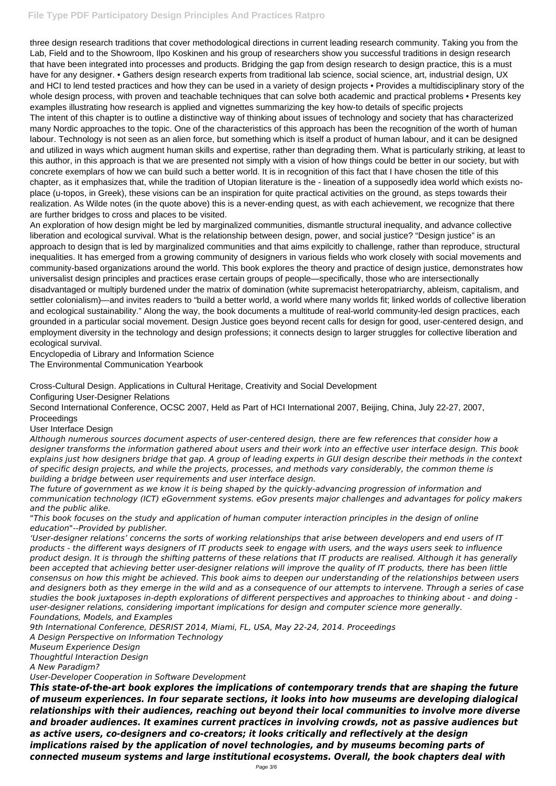### **File Type PDF Participatory Design Principles And Practices Ratpro**

three design research traditions that cover methodological directions in current leading research community. Taking you from the Lab, Field and to the Showroom, Ilpo Koskinen and his group of researchers show you successful traditions in design research that have been integrated into processes and products. Bridging the gap from design research to design practice, this is a must have for any designer. • Gathers design research experts from traditional lab science, social science, art, industrial design, UX and HCI to lend tested practices and how they can be used in a variety of design projects • Provides a multidisciplinary story of the whole design process, with proven and teachable techniques that can solve both academic and practical problems • Presents key examples illustrating how research is applied and vignettes summarizing the key how-to details of specific projects The intent of this chapter is to outline a distinctive way of thinking about issues of technology and society that has characterized many Nordic approaches to the topic. One of the characteristics of this approach has been the recognition of the worth of human labour. Technology is not seen as an alien force, but something which is itself a product of human labour, and it can be designed and utilized in ways which augment human skills and expertise, rather than degrading them. What is particularly striking, at least to this author, in this approach is that we are presented not simply with a vision of how things could be better in our society, but with concrete exemplars of how we can build such a better world. It is in recognition of this fact that I have chosen the title of this chapter, as it emphasizes that, while the tradition of Utopian literature is the - lineation of a supposedly idea world which exists noplace (u-topos, in Greek), these visions can be an inspiration for quite practical activities on the ground, as steps towards their realization. As Wilde notes (in the quote above) this is a never-ending quest, as with each achievement, we recognize that there are further bridges to cross and places to be visited.

An exploration of how design might be led by marginalized communities, dismantle structural inequality, and advance collective liberation and ecological survival. What is the relationship between design, power, and social justice? "Design justice" is an approach to design that is led by marginalized communities and that aims expilcitly to challenge, rather than reproduce, structural inequalities. It has emerged from a growing community of designers in various fields who work closely with social movements and community-based organizations around the world. This book explores the theory and practice of design justice, demonstrates how universalist design principles and practices erase certain groups of people—specifically, those who are intersectionally disadvantaged or multiply burdened under the matrix of domination (white supremacist heteropatriarchy, ableism, capitalism, and settler colonialism)—and invites readers to "build a better world, a world where many worlds fit; linked worlds of collective liberation and ecological sustainability." Along the way, the book documents a multitude of real-world community-led design practices, each grounded in a particular social movement. Design Justice goes beyond recent calls for design for good, user-centered design, and employment diversity in the technology and design professions; it connects design to larger struggles for collective liberation and ecological survival.

Encyclopedia of Library and Information Science

The Environmental Communication Yearbook

Cross-Cultural Design. Applications in Cultural Heritage, Creativity and Social Development

Configuring User-Designer Relations

Second International Conference, OCSC 2007, Held as Part of HCI International 2007, Beijing, China, July 22-27, 2007, Proceedings

#### User Interface Design

*Although numerous sources document aspects of user-centered design, there are few references that consider how a designer transforms the information gathered about users and their work into an effective user interface design. This book explains just how designers bridge that gap. A group of leading experts in GUI design describe their methods in the context of specific design projects, and while the projects, processes, and methods vary considerably, the common theme is building a bridge between user requirements and user interface design.*

*The future of government as we know it is being shaped by the quickly-advancing progression of information and communication technology (ICT) eGovernment systems. eGov presents major challenges and advantages for policy makers and the public alike.*

*"This book focuses on the study and application of human computer interaction principles in the design of online education"--Provided by publisher.*

*'User-designer relations' concerns the sorts of working relationships that arise between developers and end users of IT products - the different ways designers of IT products seek to engage with users, and the ways users seek to influence product design. It is through the shifting patterns of these relations that IT products are realised. Although it has generally been accepted that achieving better user-designer relations will improve the quality of IT products, there has been little consensus on how this might be achieved. This book aims to deepen our understanding of the relationships between users and designers both as they emerge in the wild and as a consequence of our attempts to intervene. Through a series of case studies the book juxtaposes in-depth explorations of different perspectives and approaches to thinking about - and doing user-designer relations, considering important implications for design and computer science more generally. Foundations, Models, and Examples 9th International Conference, DESRIST 2014, Miami, FL, USA, May 22-24, 2014. Proceedings A Design Perspective on Information Technology Museum Experience Design Thoughtful Interaction Design A New Paradigm? User-Developer Cooperation in Software Development This state-of-the-art book explores the implications of contemporary trends that are shaping the future of museum experiences. In four separate sections, it looks into how museums are developing dialogical relationships with their audiences, reaching out beyond their local communities to involve more diverse and broader audiences. It examines current practices in involving crowds, not as passive audiences but as active users, co-designers and co-creators; it looks critically and reflectively at the design implications raised by the application of novel technologies, and by museums becoming parts of connected museum systems and large institutional ecosystems. Overall, the book chapters deal with*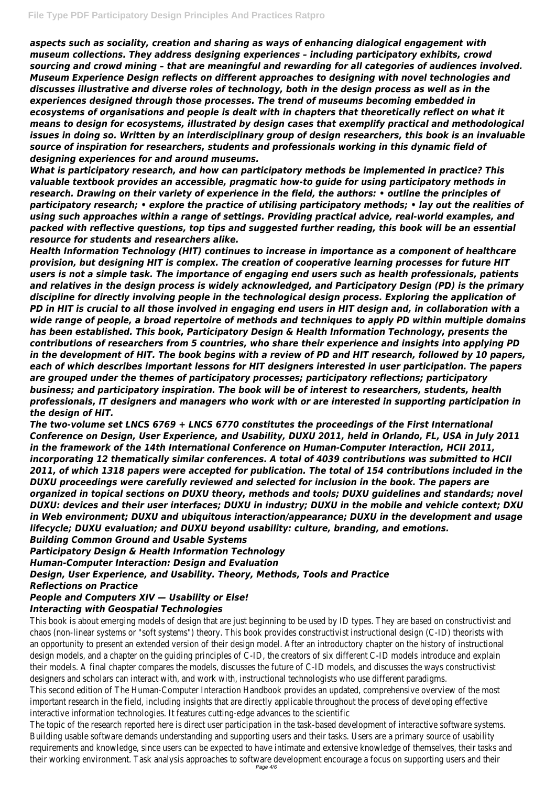*aspects such as sociality, creation and sharing as ways of enhancing dialogical engagement with museum collections. They address designing experiences – including participatory exhibits, crowd sourcing and crowd mining – that are meaningful and rewarding for all categories of audiences involved. Museum Experience Design reflects on different approaches to designing with novel technologies and discusses illustrative and diverse roles of technology, both in the design process as well as in the experiences designed through those processes. The trend of museums becoming embedded in ecosystems of organisations and people is dealt with in chapters that theoretically reflect on what it means to design for ecosystems, illustrated by design cases that exemplify practical and methodological issues in doing so. Written by an interdisciplinary group of design researchers, this book is an invaluable source of inspiration for researchers, students and professionals working in this dynamic field of designing experiences for and around museums.*

*What is participatory research, and how can participatory methods be implemented in practice? This valuable textbook provides an accessible, pragmatic how-to guide for using participatory methods in research. Drawing on their variety of experience in the field, the authors: • outline the principles of participatory research; • explore the practice of utilising participatory methods; • lay out the realities of using such approaches within a range of settings. Providing practical advice, real-world examples, and packed with reflective questions, top tips and suggested further reading, this book will be an essential resource for students and researchers alike.*

*Health Information Technology (HIT) continues to increase in importance as a component of healthcare provision, but designing HIT is complex. The creation of cooperative learning processes for future HIT users is not a simple task. The importance of engaging end users such as health professionals, patients and relatives in the design process is widely acknowledged, and Participatory Design (PD) is the primary discipline for directly involving people in the technological design process. Exploring the application of PD in HIT is crucial to all those involved in engaging end users in HIT design and, in collaboration with a wide range of people, a broad repertoire of methods and techniques to apply PD within multiple domains has been established. This book, Participatory Design & Health Information Technology, presents the contributions of researchers from 5 countries, who share their experience and insights into applying PD in the development of HIT. The book begins with a review of PD and HIT research, followed by 10 papers, each of which describes important lessons for HIT designers interested in user participation. The papers are grouped under the themes of participatory processes; participatory reflections; participatory business; and participatory inspiration. The book will be of interest to researchers, students, health professionals, IT designers and managers who work with or are interested in supporting participation in the design of HIT.*

*The two-volume set LNCS 6769 + LNCS 6770 constitutes the proceedings of the First International Conference on Design, User Experience, and Usability, DUXU 2011, held in Orlando, FL, USA in July 2011 in the framework of the 14th International Conference on Human-Computer Interaction, HCII 2011, incorporating 12 thematically similar conferences. A total of 4039 contributions was submitted to HCII 2011, of which 1318 papers were accepted for publication. The total of 154 contributions included in the DUXU proceedings were carefully reviewed and selected for inclusion in the book. The papers are organized in topical sections on DUXU theory, methods and tools; DUXU guidelines and standards; novel DUXU: devices and their user interfaces; DUXU in industry; DUXU in the mobile and vehicle context; DXU in Web environment; DUXU and ubiquitous interaction/appearance; DUXU in the development and usage lifecycle; DUXU evaluation; and DUXU beyond usability: culture, branding, and emotions. Building Common Ground and Usable Systems Participatory Design & Health Information Technology Human-Computer Interaction: Design and Evaluation Design, User Experience, and Usability. Theory, Methods, Tools and Practice Reflections on Practice*

# *People and Computers XIV — Usability or Else!*

#### *Interacting with Geospatial Technologies*

This book is about emerging models of design that are just beginning to be used by ID types. They are based on constructivis chaos (non-linear systems or "soft systems") theory. This book provides constructivist instructional design (C-ID) theorists with an opportunity to present an extended version of their design model. After an introductory chapter on the history of instruct design models, and a chapter on the guiding principles of C-ID, the creators of six different C-ID models introduce and explain their models. A final chapter compares the models, discusses the future of C-ID models, and discusses the ways constructivist designers and scholars can interact with, and work with, instructional technologists who use different paradigms. This second edition of The Human-Computer Interaction Handbook provides an updated, comprehensive overview of the most important research in the field, including insights that are directly applicable throughout the process of developing effective interactive information technologies. It features cutting-edge advances to the scientific The topic of the research reported here is direct user participation in the task-based development of interactive software systems. Building usable software demands understanding and supporting users and their tasks. Users are a primary source of usability requirements and knowledge, since users can be expected to have intimate and extensive knowledge of themselves, their tas their working environment. Task analysis approaches to software development encourage a focus on supporting users and the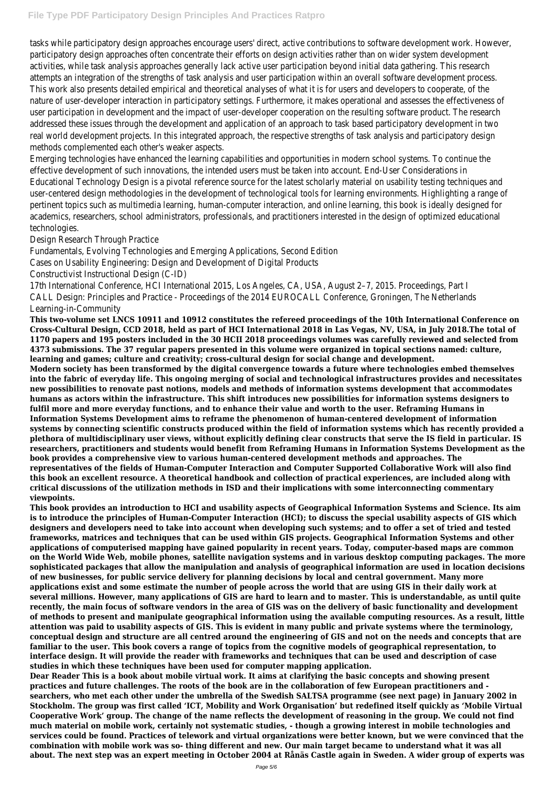tasks while participatory design approaches encourage users' direct, active contributions to software development work. How participatory design approaches often concentrate their efforts on design activities rather than on wider system developmen activities, while task analysis approaches generally lack active user participation beyond initial data gathering. This research attempts an integration of the strengths of task analysis and user participation within an overall software development proc This work also presents detailed empirical and theoretical analyses of what it is for users and developers to cooperate, of the nature of user-developer interaction in participatory settings. Furthermore, it makes operational and assesses the effectivene user participation in development and the impact of user-developer cooperation on the resulting software product. The resea addressed these issues through the development and application of an approach to task based participatory development in t real world development projects. In this integrated approach, the respective strengths of task analysis and participatory designed methods complemented each other's weaker aspects.

Emerging technologies have enhanced the learning capabilities and opportunities in modern school systems. To continue the effective development of such innovations, the intended users must be taken into account. End-User Considerations in Educational Technology Design is a pivotal reference source for the latest scholarly material on usability testing techniques and user-centered design methodologies in the development of technological tools for learning environments. Highlighting a range pertinent topics such as multimedia learning, human-computer interaction, and online learning, this book is ideally designed for academics, researchers, school administrators, professionals, and practitioners interested in the design of optimized education technologies.

Design Research Through Practice

Fundamentals, Evolving Technologies and Emerging Applications, Second Edition

Cases on Usability Engineering: Design and Development of Digital Products

Constructivist Instructional Design (C-ID)

17th International Conference, HCI International 2015, Los Angeles, CA, USA, August 2–7, 2015. Proceedings, Part I CALL Design: Principles and Practice - Proceedings of the 2014 EUROCALL Conference, Groningen, The Netherlands Learning-in-Community

**This two-volume set LNCS 10911 and 10912 constitutes the refereed proceedings of the 10th International Conference on Cross-Cultural Design, CCD 2018, held as part of HCI International 2018 in Las Vegas, NV, USA, in July 2018.The total of 1170 papers and 195 posters included in the 30 HCII 2018 proceedings volumes was carefully reviewed and selected from 4373 submissions. The 37 regular papers presented in this volume were organized in topical sections named: culture, learning and games; culture and creativity; cross-cultural design for social change and development.**

**Modern society has been transformed by the digital convergence towards a future where technologies embed themselves into the fabric of everyday life. This ongoing merging of social and technological infrastructures provides and necessitates new possibilities to renovate past notions, models and methods of information systems development that accommodates humans as actors within the infrastructure. This shift introduces new possibilities for information systems designers to fulfil more and more everyday functions, and to enhance their value and worth to the user. Reframing Humans in Information Systems Development aims to reframe the phenomenon of human-centered development of information systems by connecting scientific constructs produced within the field of information systems which has recently provided a plethora of multidisciplinary user views, without explicitly defining clear constructs that serve the IS field in particular. IS researchers, practitioners and students would benefit from Reframing Humans in Information Systems Development as the book provides a comprehensive view to various human-centered development methods and approaches. The representatives of the fields of Human-Computer Interaction and Computer Supported Collaborative Work will also find this book an excellent resource. A theoretical handbook and collection of practical experiences, are included along with critical discussions of the utilization methods in ISD and their implications with some interconnecting commentary viewpoints.**

**This book provides an introduction to HCI and usability aspects of Geographical Information Systems and Science. Its aim is to introduce the principles of Human-Computer Interaction (HCI); to discuss the special usability aspects of GIS which designers and developers need to take into account when developing such systems; and to offer a set of tried and tested frameworks, matrices and techniques that can be used within GIS projects. Geographical Information Systems and other applications of computerised mapping have gained popularity in recent years. Today, computer-based maps are common on the World Wide Web, mobile phones, satellite navigation systems and in various desktop computing packages. The more sophisticated packages that allow the manipulation and analysis of geographical information are used in location decisions of new businesses, for public service delivery for planning decisions by local and central government. Many more applications exist and some estimate the number of people across the world that are using GIS in their daily work at several millions. However, many applications of GIS are hard to learn and to master. This is understandable, as until quite recently, the main focus of software vendors in the area of GIS was on the delivery of basic functionality and development of methods to present and manipulate geographical information using the available computing resources. As a result, little attention was paid to usability aspects of GIS. This is evident in many public and private systems where the terminology, conceptual design and structure are all centred around the engineering of GIS and not on the needs and concepts that are familiar to the user. This book covers a range of topics from the cognitive models of geographical representation, to interface design. It will provide the reader with frameworks and techniques that can be used and description of case studies in which these techniques have been used for computer mapping application. Dear Reader This is a book about mobile virtual work. It aims at clarifying the basic concepts and showing present practices and future challenges. The roots of the book are in the collaboration of few European practitioners and searchers, who met each other under the umbrella of the Swedish SALTSA programme (see next page) in January 2002 in Stockholm. The group was first called 'ICT, Mobility and Work Organisation' but redefined itself quickly as 'Mobile Virtual Cooperative Work' group. The change of the name reflects the development of reasoning in the group. We could not find much material on mobile work, certainly not systematic studies, - though a growing interest in mobile technologies and services could be found. Practices of telework and virtual organizations were better known, but we were convinced that the combination with mobile work was so- thing different and new. Our main target became to understand what it was all about. The next step was an expert meeting in October 2004 at Rånäs Castle again in Sweden. A wider group of experts was**